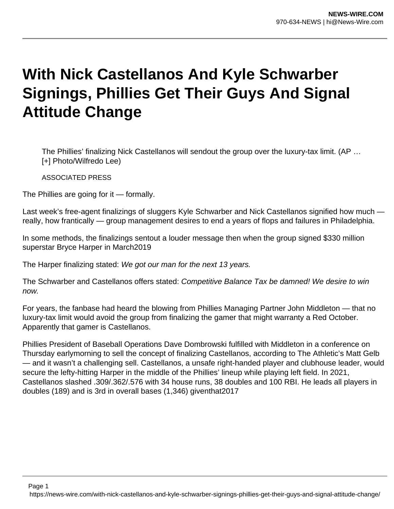## **With Nick Castellanos And Kyle Schwarber Signings, Phillies Get Their Guys And Signal Attitude Change**

The Phillies' finalizing Nick Castellanos will sendout the group over the luxury-tax limit. (AP … [+] Photo/Wilfredo Lee)

ASSOCIATED PRESS

The Phillies are going for it — formally.

Last week's free-agent finalizings of sluggers Kyle Schwarber and Nick Castellanos signified how much really, how frantically — group management desires to end a years of flops and failures in Philadelphia.

In some methods, the finalizings sentout a louder message then when the group signed \$330 million superstar Bryce Harper in March2019

The Harper finalizing stated: We got our man for the next 13 years.

The Schwarber and Castellanos offers stated: Competitive Balance Tax be damned! We desire to win now.

For years, the fanbase had heard the blowing from Phillies Managing Partner John Middleton — that no luxury-tax limit would avoid the group from finalizing the gamer that might warranty a Red October. Apparently that gamer is Castellanos.

Phillies President of Baseball Operations Dave Dombrowski fulfilled with Middleton in a conference on Thursday earlymorning to sell the concept of finalizing Castellanos, according to The Athletic's Matt Gelb — and it wasn't a challenging sell. Castellanos, a unsafe right-handed player and clubhouse leader, would secure the lefty-hitting Harper in the middle of the Phillies' lineup while playing left field. In 2021, Castellanos slashed .309/.362/.576 with 34 house runs, 38 doubles and 100 RBI. He leads all players in doubles (189) and is 3rd in overall bases (1,346) giventhat2017